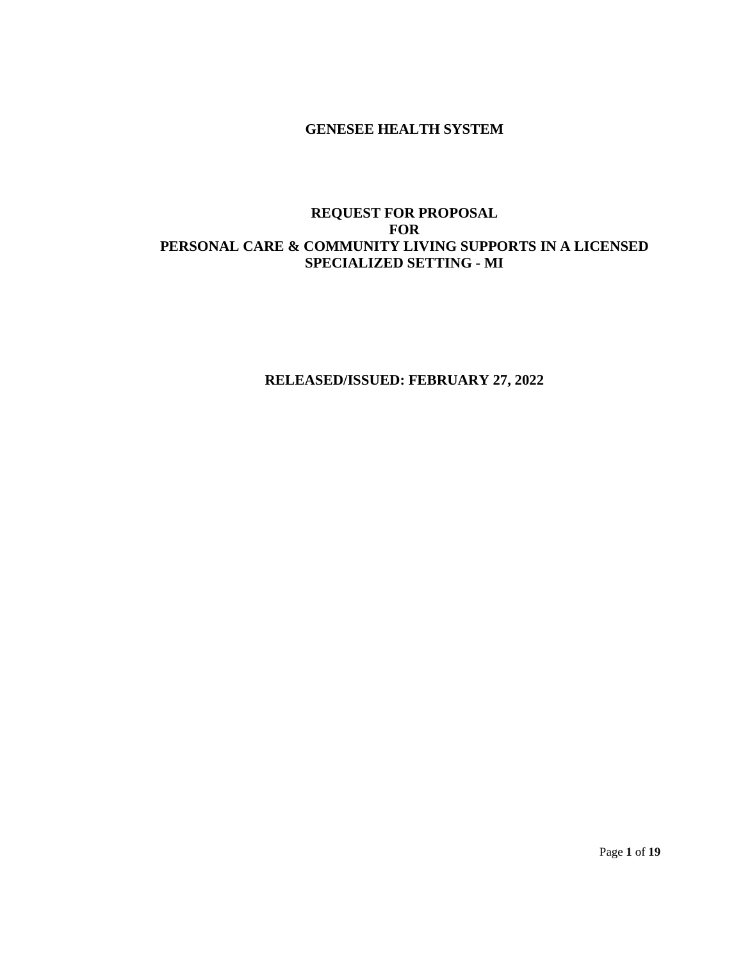## **GENESEE HEALTH SYSTEM**

## **REQUEST FOR PROPOSAL FOR PERSONAL CARE & COMMUNITY LIVING SUPPORTS IN A LICENSED SPECIALIZED SETTING - MI**

**RELEASED/ISSUED: FEBRUARY 27, 2022**

Page **1** of **19**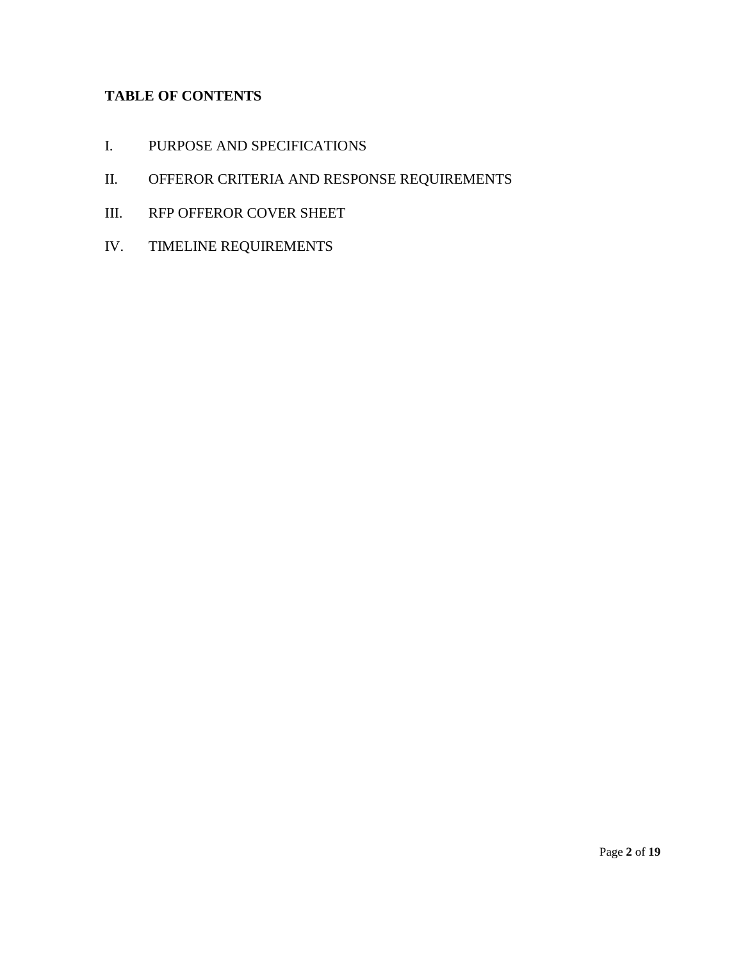# **TABLE OF CONTENTS**

- I. PURPOSE AND SPECIFICATIONS
- II. OFFEROR CRITERIA AND RESPONSE REQUIREMENTS
- III. RFP OFFEROR COVER SHEET
- IV. TIMELINE REQUIREMENTS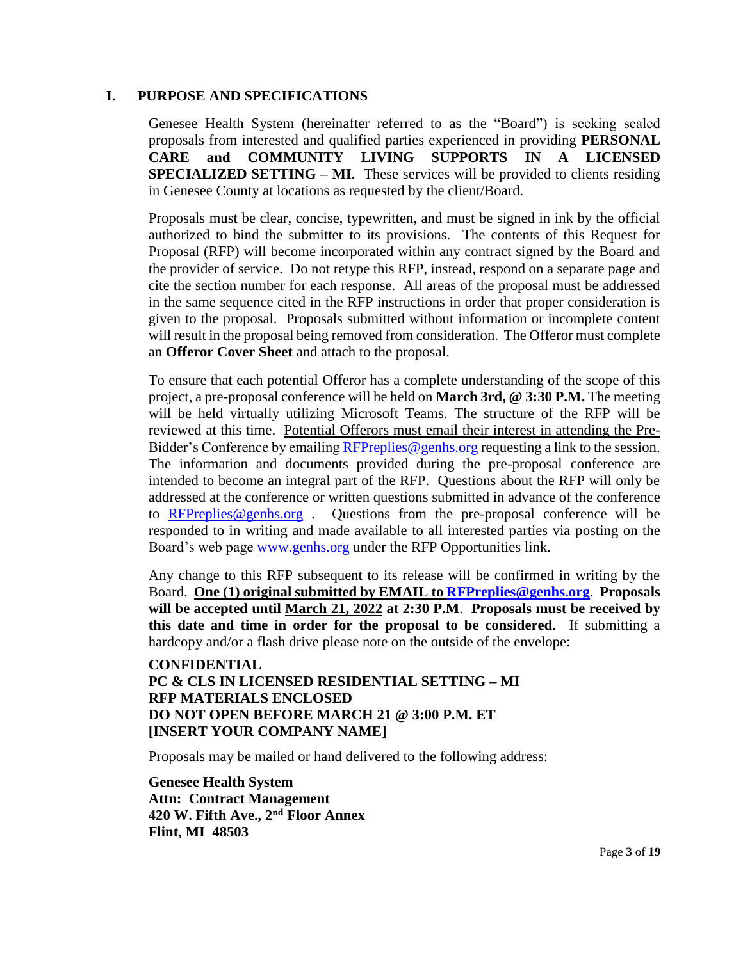## **I. PURPOSE AND SPECIFICATIONS**

Genesee Health System (hereinafter referred to as the "Board") is seeking sealed proposals from interested and qualified parties experienced in providing **PERSONAL CARE and COMMUNITY LIVING SUPPORTS IN A LICENSED SPECIALIZED SETTING – MI**. These services will be provided to clients residing in Genesee County at locations as requested by the client/Board.

Proposals must be clear, concise, typewritten, and must be signed in ink by the official authorized to bind the submitter to its provisions. The contents of this Request for Proposal (RFP) will become incorporated within any contract signed by the Board and the provider of service. Do not retype this RFP, instead, respond on a separate page and cite the section number for each response. All areas of the proposal must be addressed in the same sequence cited in the RFP instructions in order that proper consideration is given to the proposal. Proposals submitted without information or incomplete content will result in the proposal being removed from consideration. The Offeror must complete an **Offeror Cover Sheet** and attach to the proposal.

To ensure that each potential Offeror has a complete understanding of the scope of this project, a pre-proposal conference will be held on **March 3rd, @ 3:30 P.M.** The meeting will be held virtually utilizing Microsoft Teams. The structure of the RFP will be reviewed at this time. Potential Offerors must email their interest in attending the PreBidder's Conference by emailin[g RFPreplies@genhs.org](mailto:RFPreplies@genhs.org) requesting a link to the session. The information and documents provided during the pre-proposal conference are intended to become an integral part of the RFP. Questions about the RFP will only be addressed at the conference or written questions submitted in advance of the conference to [RFPreplies@genhs.org](mailto:RFPreplies@genhs.org) . Questions from the pre-proposal conference will be responded to in writing and made available to all interested parties via posting on the Board's web page [www.genhs.org](http://www.genhs.org/) under the RFP Opportunities link.

Any change to this RFP subsequent to its release will be confirmed in writing by the Board. **One (1) original submitted by EMAIL to [RFPreplies@genhs.org](mailto:RFPreplies@genhs.org)**. **Proposals will be accepted until March 21, 2022 at 2:30 P.M**. **Proposals must be received by this date and time in order for the proposal to be considered**. If submitting a hardcopy and/or a flash drive please note on the outside of the envelope:

## **CONFIDENTIAL PC & CLS IN LICENSED RESIDENTIAL SETTING – MI RFP MATERIALS ENCLOSED DO NOT OPEN BEFORE MARCH 21 @ 3:00 P.M. ET [INSERT YOUR COMPANY NAME]**

Proposals may be mailed or hand delivered to the following address:

**Genesee Health System Attn: Contract Management 420 W. Fifth Ave., 2nd Floor Annex Flint, MI 48503**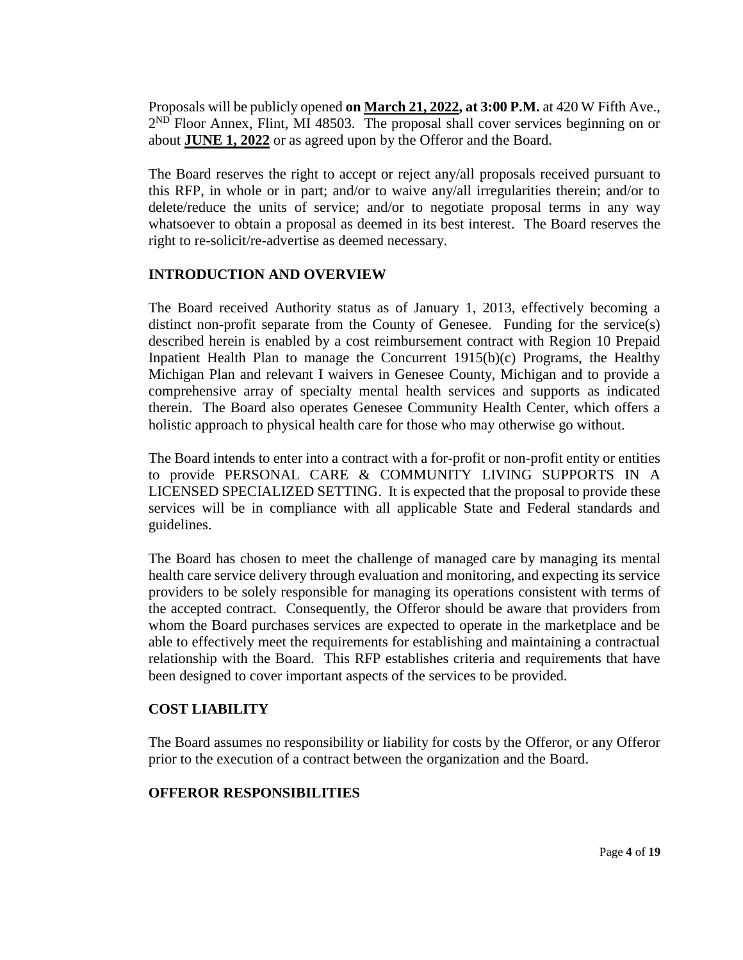Proposals will be publicly opened **on March 21, 2022, at 3:00 P.M.** at 420 W Fifth Ave.,  $2^{ND}$  Floor Annex, Flint, MI 48503. The proposal shall cover services beginning on or about **JUNE 1, 2022** or as agreed upon by the Offeror and the Board.

The Board reserves the right to accept or reject any/all proposals received pursuant to this RFP, in whole or in part; and/or to waive any/all irregularities therein; and/or to delete/reduce the units of service; and/or to negotiate proposal terms in any way whatsoever to obtain a proposal as deemed in its best interest. The Board reserves the right to re-solicit/re-advertise as deemed necessary.

# **INTRODUCTION AND OVERVIEW**

The Board received Authority status as of January 1, 2013, effectively becoming a distinct non-profit separate from the County of Genesee. Funding for the service(s) described herein is enabled by a cost reimbursement contract with Region 10 Prepaid Inpatient Health Plan to manage the Concurrent 1915(b)(c) Programs, the Healthy Michigan Plan and relevant I waivers in Genesee County, Michigan and to provide a comprehensive array of specialty mental health services and supports as indicated therein. The Board also operates Genesee Community Health Center, which offers a holistic approach to physical health care for those who may otherwise go without.

The Board intends to enter into a contract with a for-profit or non-profit entity or entities to provide PERSONAL CARE & COMMUNITY LIVING SUPPORTS IN A LICENSED SPECIALIZED SETTING. It is expected that the proposal to provide these services will be in compliance with all applicable State and Federal standards and guidelines.

The Board has chosen to meet the challenge of managed care by managing its mental health care service delivery through evaluation and monitoring, and expecting its service providers to be solely responsible for managing its operations consistent with terms of the accepted contract. Consequently, the Offeror should be aware that providers from whom the Board purchases services are expected to operate in the marketplace and be able to effectively meet the requirements for establishing and maintaining a contractual relationship with the Board. This RFP establishes criteria and requirements that have been designed to cover important aspects of the services to be provided.

## **COST LIABILITY**

The Board assumes no responsibility or liability for costs by the Offeror, or any Offeror prior to the execution of a contract between the organization and the Board.

# **OFFEROR RESPONSIBILITIES**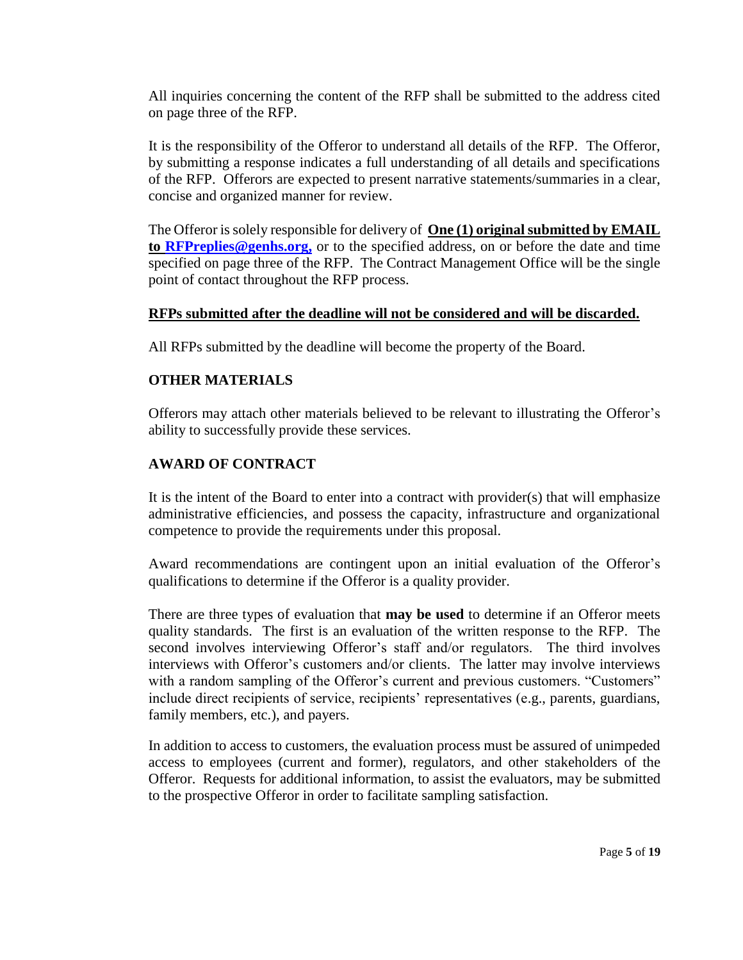All inquiries concerning the content of the RFP shall be submitted to the address cited on page three of the RFP.

It is the responsibility of the Offeror to understand all details of the RFP. The Offeror, by submitting a response indicates a full understanding of all details and specifications of the RFP. Offerors are expected to present narrative statements/summaries in a clear, concise and organized manner for review.

The Offeror is solely responsible for delivery of **One (1) original submitted by EMAIL to [RFPreplies@genhs.org,](mailto:RFPreplies@genhs.org)** or to the specified address, on or before the date and time specified on page three of the RFP. The Contract Management Office will be the single point of contact throughout the RFP process.

# **RFPs submitted after the deadline will not be considered and will be discarded.**

All RFPs submitted by the deadline will become the property of the Board.

# **OTHER MATERIALS**

Offerors may attach other materials believed to be relevant to illustrating the Offeror's ability to successfully provide these services.

# **AWARD OF CONTRACT**

It is the intent of the Board to enter into a contract with provider(s) that will emphasize administrative efficiencies, and possess the capacity, infrastructure and organizational competence to provide the requirements under this proposal.

Award recommendations are contingent upon an initial evaluation of the Offeror's qualifications to determine if the Offeror is a quality provider.

There are three types of evaluation that **may be used** to determine if an Offeror meets quality standards. The first is an evaluation of the written response to the RFP. The second involves interviewing Offeror's staff and/or regulators. The third involves interviews with Offeror's customers and/or clients. The latter may involve interviews with a random sampling of the Offeror's current and previous customers. "Customers" include direct recipients of service, recipients' representatives (e.g., parents, guardians, family members, etc.), and payers.

In addition to access to customers, the evaluation process must be assured of unimpeded access to employees (current and former), regulators, and other stakeholders of the Offeror. Requests for additional information, to assist the evaluators, may be submitted to the prospective Offeror in order to facilitate sampling satisfaction.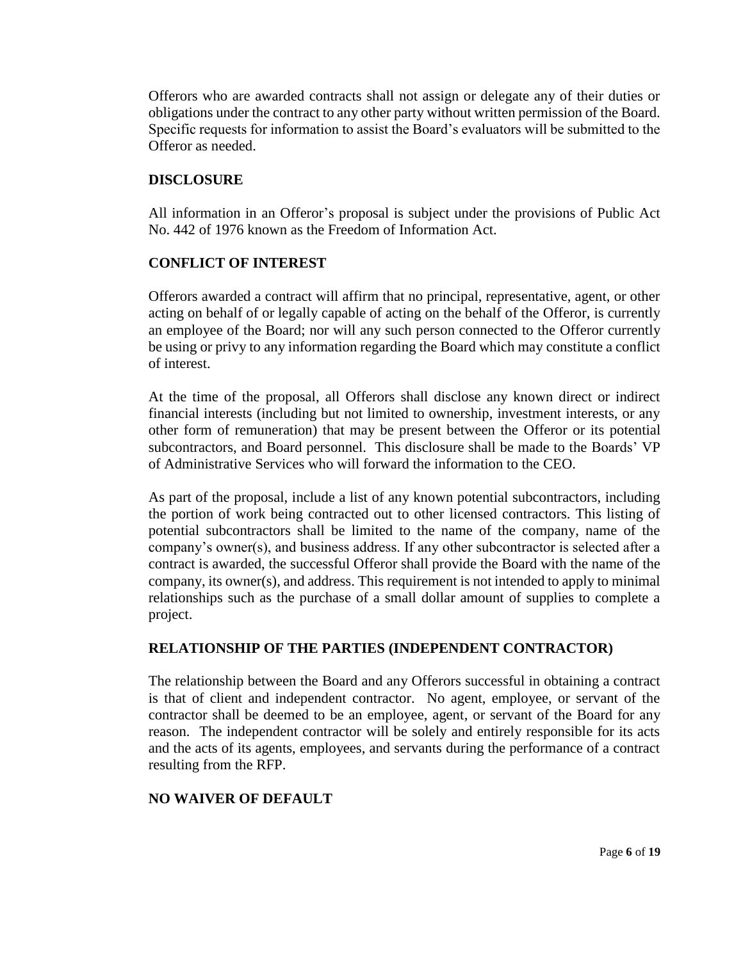Offerors who are awarded contracts shall not assign or delegate any of their duties or obligations under the contract to any other party without written permission of the Board. Specific requests for information to assist the Board's evaluators will be submitted to the Offeror as needed.

#### **DISCLOSURE**

All information in an Offeror's proposal is subject under the provisions of Public Act No. 442 of 1976 known as the Freedom of Information Act.

## **CONFLICT OF INTEREST**

Offerors awarded a contract will affirm that no principal, representative, agent, or other acting on behalf of or legally capable of acting on the behalf of the Offeror, is currently an employee of the Board; nor will any such person connected to the Offeror currently be using or privy to any information regarding the Board which may constitute a conflict of interest.

At the time of the proposal, all Offerors shall disclose any known direct or indirect financial interests (including but not limited to ownership, investment interests, or any other form of remuneration) that may be present between the Offeror or its potential subcontractors, and Board personnel. This disclosure shall be made to the Boards' VP of Administrative Services who will forward the information to the CEO.

As part of the proposal, include a list of any known potential subcontractors, including the portion of work being contracted out to other licensed contractors. This listing of potential subcontractors shall be limited to the name of the company, name of the company's owner(s), and business address. If any other subcontractor is selected after a contract is awarded, the successful Offeror shall provide the Board with the name of the company, its owner(s), and address. This requirement is not intended to apply to minimal relationships such as the purchase of a small dollar amount of supplies to complete a project.

## **RELATIONSHIP OF THE PARTIES (INDEPENDENT CONTRACTOR)**

The relationship between the Board and any Offerors successful in obtaining a contract is that of client and independent contractor. No agent, employee, or servant of the contractor shall be deemed to be an employee, agent, or servant of the Board for any reason. The independent contractor will be solely and entirely responsible for its acts and the acts of its agents, employees, and servants during the performance of a contract resulting from the RFP.

## **NO WAIVER OF DEFAULT**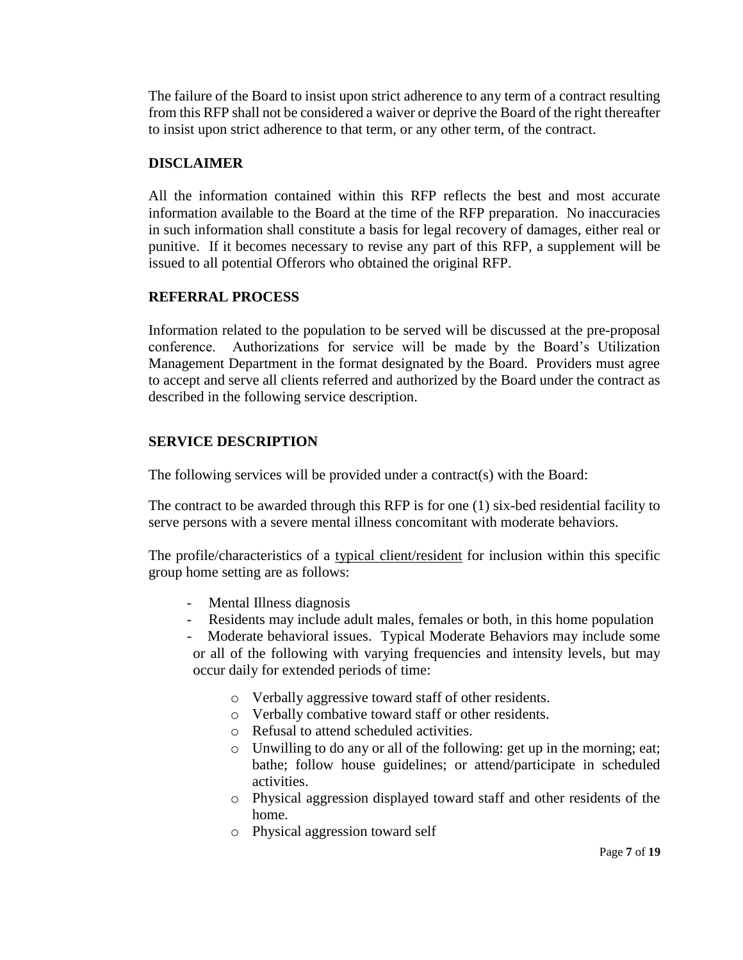The failure of the Board to insist upon strict adherence to any term of a contract resulting from this RFP shall not be considered a waiver or deprive the Board of the right thereafter to insist upon strict adherence to that term, or any other term, of the contract.

## **DISCLAIMER**

All the information contained within this RFP reflects the best and most accurate information available to the Board at the time of the RFP preparation. No inaccuracies in such information shall constitute a basis for legal recovery of damages, either real or punitive. If it becomes necessary to revise any part of this RFP, a supplement will be issued to all potential Offerors who obtained the original RFP.

## **REFERRAL PROCESS**

Information related to the population to be served will be discussed at the pre-proposal conference. Authorizations for service will be made by the Board's Utilization Management Department in the format designated by the Board. Providers must agree to accept and serve all clients referred and authorized by the Board under the contract as described in the following service description.

# **SERVICE DESCRIPTION**

The following services will be provided under a contract(s) with the Board:

The contract to be awarded through this RFP is for one (1) six-bed residential facility to serve persons with a severe mental illness concomitant with moderate behaviors.

The profile/characteristics of a typical client/resident for inclusion within this specific group home setting are as follows:

- Mental Illness diagnosis
- Residents may include adult males, females or both, in this home population
- Moderate behavioral issues. Typical Moderate Behaviors may include some

or all of the following with varying frequencies and intensity levels, but may occur daily for extended periods of time:

- o Verbally aggressive toward staff of other residents.
- o Verbally combative toward staff or other residents.
- o Refusal to attend scheduled activities.
- o Unwilling to do any or all of the following: get up in the morning; eat; bathe; follow house guidelines; or attend/participate in scheduled activities.
- o Physical aggression displayed toward staff and other residents of the home.
- o Physical aggression toward self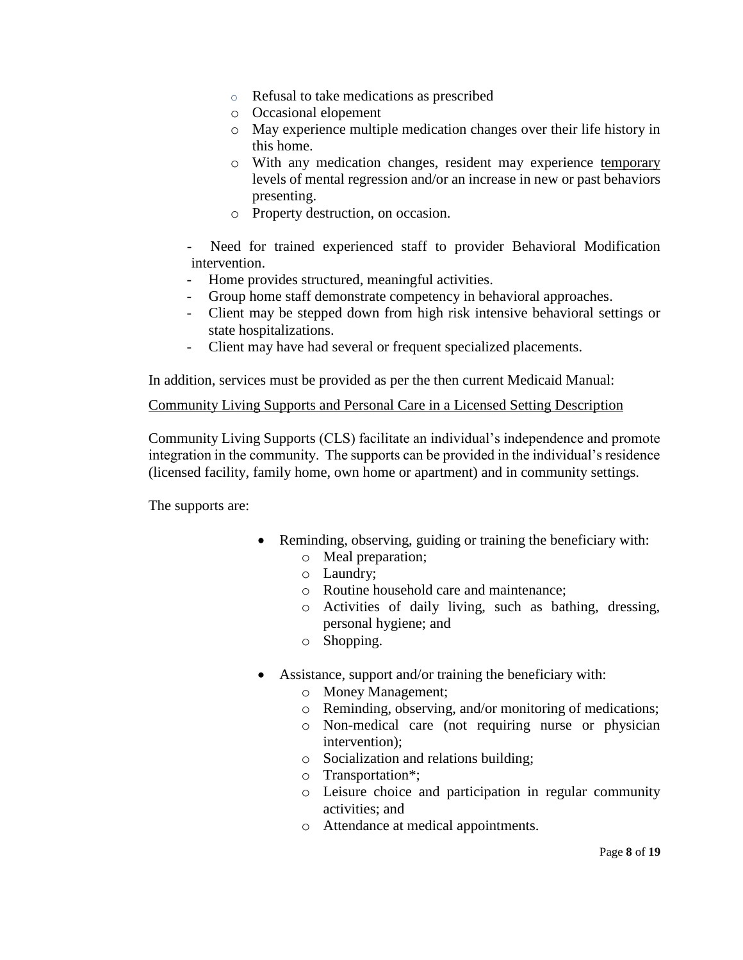- o Refusal to take medications as prescribed
- o Occasional elopement
- o May experience multiple medication changes over their life history in this home.
- o With any medication changes, resident may experience temporary levels of mental regression and/or an increase in new or past behaviors presenting.
- o Property destruction, on occasion.

Need for trained experienced staff to provider Behavioral Modification intervention.

- Home provides structured, meaningful activities.
- Group home staff demonstrate competency in behavioral approaches.
- Client may be stepped down from high risk intensive behavioral settings or state hospitalizations.
- Client may have had several or frequent specialized placements.

In addition, services must be provided as per the then current Medicaid Manual:

## Community Living Supports and Personal Care in a Licensed Setting Description

Community Living Supports (CLS) facilitate an individual's independence and promote integration in the community. The supports can be provided in the individual's residence (licensed facility, family home, own home or apartment) and in community settings.

The supports are:

- Reminding, observing, guiding or training the beneficiary with:
	- o Meal preparation;
	- o Laundry;
	- o Routine household care and maintenance;
	- o Activities of daily living, such as bathing, dressing, personal hygiene; and
	- o Shopping.
- Assistance, support and/or training the beneficiary with:
	- o Money Management;
	- o Reminding, observing, and/or monitoring of medications;
	- o Non-medical care (not requiring nurse or physician intervention);
	- o Socialization and relations building;
	- o Transportation\*;
	- o Leisure choice and participation in regular community activities; and
	- o Attendance at medical appointments.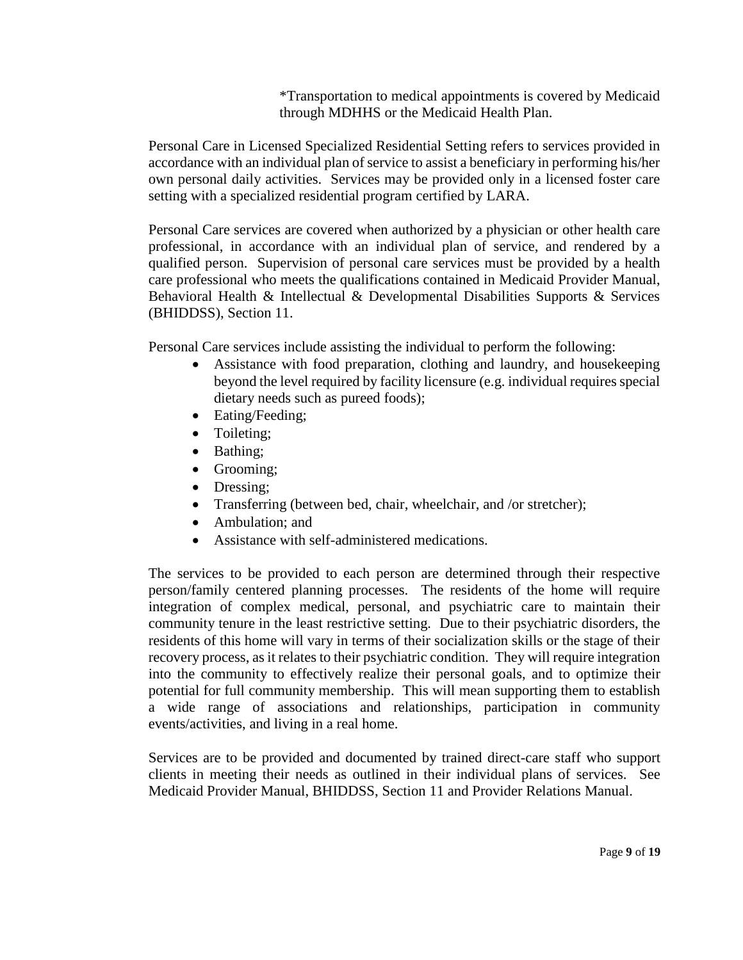\*Transportation to medical appointments is covered by Medicaid through MDHHS or the Medicaid Health Plan.

Personal Care in Licensed Specialized Residential Setting refers to services provided in accordance with an individual plan of service to assist a beneficiary in performing his/her own personal daily activities. Services may be provided only in a licensed foster care setting with a specialized residential program certified by LARA.

Personal Care services are covered when authorized by a physician or other health care professional, in accordance with an individual plan of service, and rendered by a qualified person. Supervision of personal care services must be provided by a health care professional who meets the qualifications contained in Medicaid Provider Manual, Behavioral Health & Intellectual & Developmental Disabilities Supports & Services (BHIDDSS), Section 11.

Personal Care services include assisting the individual to perform the following:

- Assistance with food preparation, clothing and laundry, and housekeeping beyond the level required by facility licensure (e.g. individual requires special dietary needs such as pureed foods);
- Eating/Feeding:
- Toileting;
- Bathing;
- Grooming;
- Dressing;
- Transferring (between bed, chair, wheelchair, and /or stretcher);
- Ambulation: and
- Assistance with self-administered medications.

The services to be provided to each person are determined through their respective person/family centered planning processes. The residents of the home will require integration of complex medical, personal, and psychiatric care to maintain their community tenure in the least restrictive setting. Due to their psychiatric disorders, the residents of this home will vary in terms of their socialization skills or the stage of their recovery process, as it relates to their psychiatric condition. They will require integration into the community to effectively realize their personal goals, and to optimize their potential for full community membership. This will mean supporting them to establish a wide range of associations and relationships, participation in community events/activities, and living in a real home.

Services are to be provided and documented by trained direct-care staff who support clients in meeting their needs as outlined in their individual plans of services. See Medicaid Provider Manual, BHIDDSS, Section 11 and Provider Relations Manual.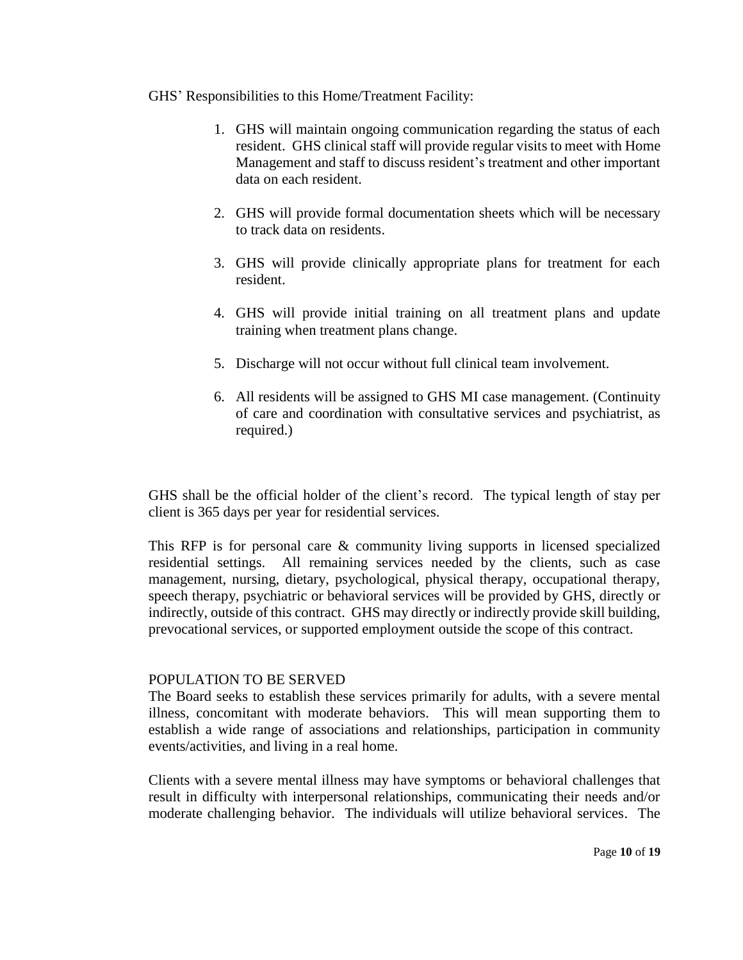## GHS' Responsibilities to this Home/Treatment Facility:

- 1. GHS will maintain ongoing communication regarding the status of each resident. GHS clinical staff will provide regular visits to meet with Home Management and staff to discuss resident's treatment and other important data on each resident.
- 2. GHS will provide formal documentation sheets which will be necessary to track data on residents.
- 3. GHS will provide clinically appropriate plans for treatment for each resident.
- 4. GHS will provide initial training on all treatment plans and update training when treatment plans change.
- 5. Discharge will not occur without full clinical team involvement.
- 6. All residents will be assigned to GHS MI case management. (Continuity of care and coordination with consultative services and psychiatrist, as required.)

GHS shall be the official holder of the client's record. The typical length of stay per client is 365 days per year for residential services.

This RFP is for personal care & community living supports in licensed specialized residential settings. All remaining services needed by the clients, such as case management, nursing, dietary, psychological, physical therapy, occupational therapy, speech therapy, psychiatric or behavioral services will be provided by GHS, directly or indirectly, outside of this contract. GHS may directly or indirectly provide skill building, prevocational services, or supported employment outside the scope of this contract.

## POPULATION TO BE SERVED

The Board seeks to establish these services primarily for adults, with a severe mental illness, concomitant with moderate behaviors. This will mean supporting them to establish a wide range of associations and relationships, participation in community events/activities, and living in a real home.

Clients with a severe mental illness may have symptoms or behavioral challenges that result in difficulty with interpersonal relationships, communicating their needs and/or moderate challenging behavior. The individuals will utilize behavioral services. The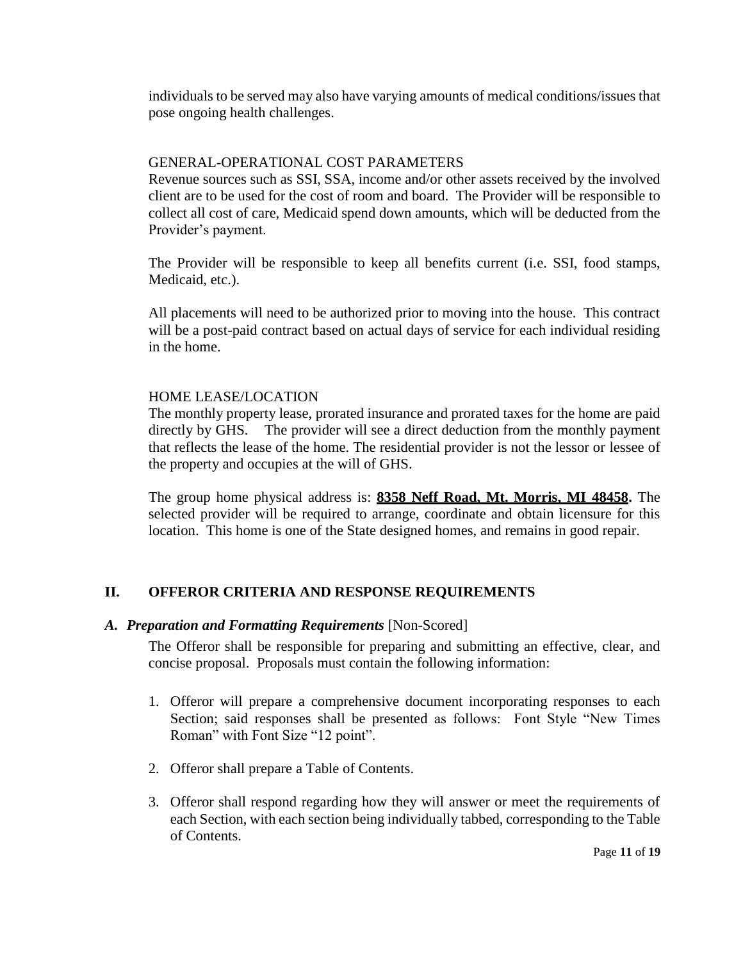individuals to be served may also have varying amounts of medical conditions/issues that pose ongoing health challenges.

## GENERAL-OPERATIONAL COST PARAMETERS

Revenue sources such as SSI, SSA, income and/or other assets received by the involved client are to be used for the cost of room and board. The Provider will be responsible to collect all cost of care, Medicaid spend down amounts, which will be deducted from the Provider's payment.

The Provider will be responsible to keep all benefits current (i.e. SSI, food stamps, Medicaid, etc.).

All placements will need to be authorized prior to moving into the house. This contract will be a post-paid contract based on actual days of service for each individual residing in the home.

## HOME LEASE/LOCATION

The monthly property lease, prorated insurance and prorated taxes for the home are paid directly by GHS. The provider will see a direct deduction from the monthly payment that reflects the lease of the home. The residential provider is not the lessor or lessee of the property and occupies at the will of GHS.

The group home physical address is: **8358 Neff Road, Mt. Morris, MI 48458.** The selected provider will be required to arrange, coordinate and obtain licensure for this location. This home is one of the State designed homes, and remains in good repair.

# **II. OFFEROR CRITERIA AND RESPONSE REQUIREMENTS**

## *A. Preparation and Formatting Requirements* [Non-Scored]

The Offeror shall be responsible for preparing and submitting an effective, clear, and concise proposal. Proposals must contain the following information:

- 1. Offeror will prepare a comprehensive document incorporating responses to each Section; said responses shall be presented as follows: Font Style "New Times Roman" with Font Size "12 point".
- 2. Offeror shall prepare a Table of Contents.
- 3. Offeror shall respond regarding how they will answer or meet the requirements of each Section, with each section being individually tabbed, corresponding to the Table of Contents.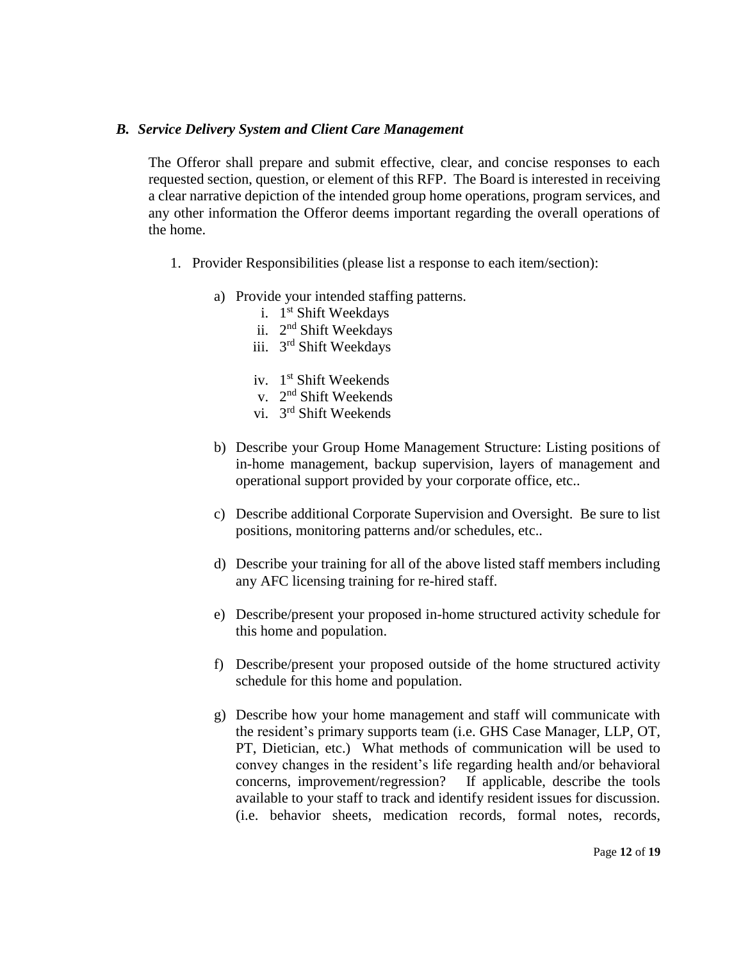#### *B. Service Delivery System and Client Care Management*

The Offeror shall prepare and submit effective, clear, and concise responses to each requested section, question, or element of this RFP. The Board is interested in receiving a clear narrative depiction of the intended group home operations, program services, and any other information the Offeror deems important regarding the overall operations of the home.

- 1. Provider Responsibilities (please list a response to each item/section):
	- a) Provide your intended staffing patterns.
		- i. 1<sup>st</sup> Shift Weekdays
		- ii. 2<sup>nd</sup> Shift Weekdays
		- iii. 3<sup>rd</sup> Shift Weekdays
		- iv. 1<sup>st</sup> Shift Weekends
		- v. 2<sup>nd</sup> Shift Weekends
		- vi. 3<sup>rd</sup> Shift Weekends
	- b) Describe your Group Home Management Structure: Listing positions of in-home management, backup supervision, layers of management and operational support provided by your corporate office, etc..
	- c) Describe additional Corporate Supervision and Oversight. Be sure to list positions, monitoring patterns and/or schedules, etc..
	- d) Describe your training for all of the above listed staff members including any AFC licensing training for re-hired staff.
	- e) Describe/present your proposed in-home structured activity schedule for this home and population.
	- f) Describe/present your proposed outside of the home structured activity schedule for this home and population.
	- g) Describe how your home management and staff will communicate with the resident's primary supports team (i.e. GHS Case Manager, LLP, OT, PT, Dietician, etc.) What methods of communication will be used to convey changes in the resident's life regarding health and/or behavioral concerns, improvement/regression? If applicable, describe the tools available to your staff to track and identify resident issues for discussion. (i.e. behavior sheets, medication records, formal notes, records,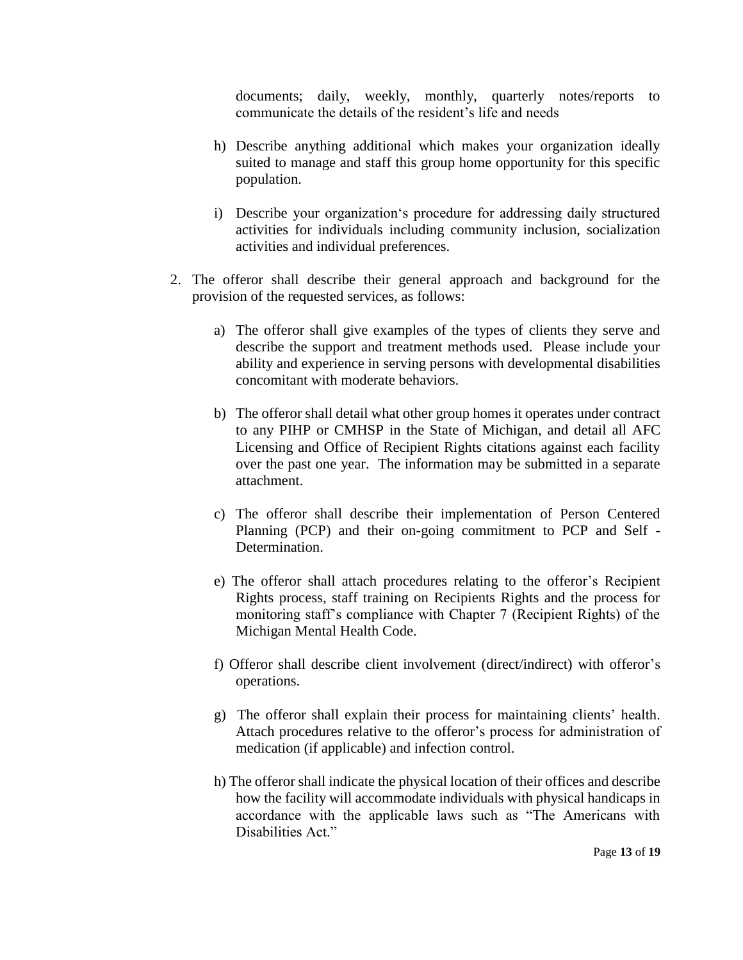documents; daily, weekly, monthly, quarterly notes/reports to communicate the details of the resident's life and needs

- h) Describe anything additional which makes your organization ideally suited to manage and staff this group home opportunity for this specific population.
- i) Describe your organization's procedure for addressing daily structured activities for individuals including community inclusion, socialization activities and individual preferences.
- 2. The offeror shall describe their general approach and background for the provision of the requested services, as follows:
	- a) The offeror shall give examples of the types of clients they serve and describe the support and treatment methods used. Please include your ability and experience in serving persons with developmental disabilities concomitant with moderate behaviors.
	- b) The offeror shall detail what other group homes it operates under contract to any PIHP or CMHSP in the State of Michigan, and detail all AFC Licensing and Office of Recipient Rights citations against each facility over the past one year. The information may be submitted in a separate attachment.
	- c) The offeror shall describe their implementation of Person Centered Planning (PCP) and their on-going commitment to PCP and Self - Determination.
	- e) The offeror shall attach procedures relating to the offeror's Recipient Rights process, staff training on Recipients Rights and the process for monitoring staff's compliance with Chapter 7 (Recipient Rights) of the Michigan Mental Health Code.
	- f) Offeror shall describe client involvement (direct/indirect) with offeror's operations.
	- g) The offeror shall explain their process for maintaining clients' health. Attach procedures relative to the offeror's process for administration of medication (if applicable) and infection control.
	- h) The offeror shall indicate the physical location of their offices and describe how the facility will accommodate individuals with physical handicaps in accordance with the applicable laws such as "The Americans with Disabilities Act."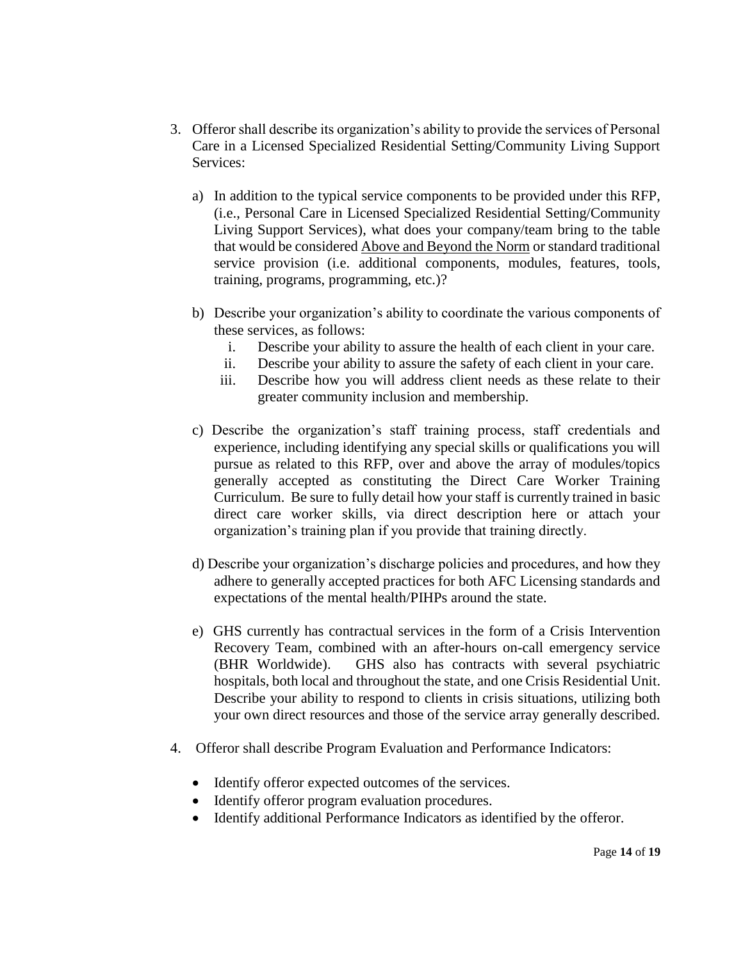- 3. Offeror shall describe its organization's ability to provide the services of Personal Care in a Licensed Specialized Residential Setting/Community Living Support Services:
	- a) In addition to the typical service components to be provided under this RFP, (i.e., Personal Care in Licensed Specialized Residential Setting/Community Living Support Services), what does your company/team bring to the table that would be considered Above and Beyond the Norm or standard traditional service provision (i.e. additional components, modules, features, tools, training, programs, programming, etc.)?
	- b) Describe your organization's ability to coordinate the various components of these services, as follows:
		- i. Describe your ability to assure the health of each client in your care.
		- ii. Describe your ability to assure the safety of each client in your care.
		- iii. Describe how you will address client needs as these relate to their greater community inclusion and membership.
	- c) Describe the organization's staff training process, staff credentials and experience, including identifying any special skills or qualifications you will pursue as related to this RFP, over and above the array of modules/topics generally accepted as constituting the Direct Care Worker Training Curriculum. Be sure to fully detail how your staff is currently trained in basic direct care worker skills, via direct description here or attach your organization's training plan if you provide that training directly.
	- d) Describe your organization's discharge policies and procedures, and how they adhere to generally accepted practices for both AFC Licensing standards and expectations of the mental health/PIHPs around the state.
	- e) GHS currently has contractual services in the form of a Crisis Intervention Recovery Team, combined with an after-hours on-call emergency service (BHR Worldwide). GHS also has contracts with several psychiatric hospitals, both local and throughout the state, and one Crisis Residential Unit. Describe your ability to respond to clients in crisis situations, utilizing both your own direct resources and those of the service array generally described.
- 4. Offeror shall describe Program Evaluation and Performance Indicators:
	- Identify offeror expected outcomes of the services.
	- Identify offeror program evaluation procedures.
	- Identify additional Performance Indicators as identified by the offeror.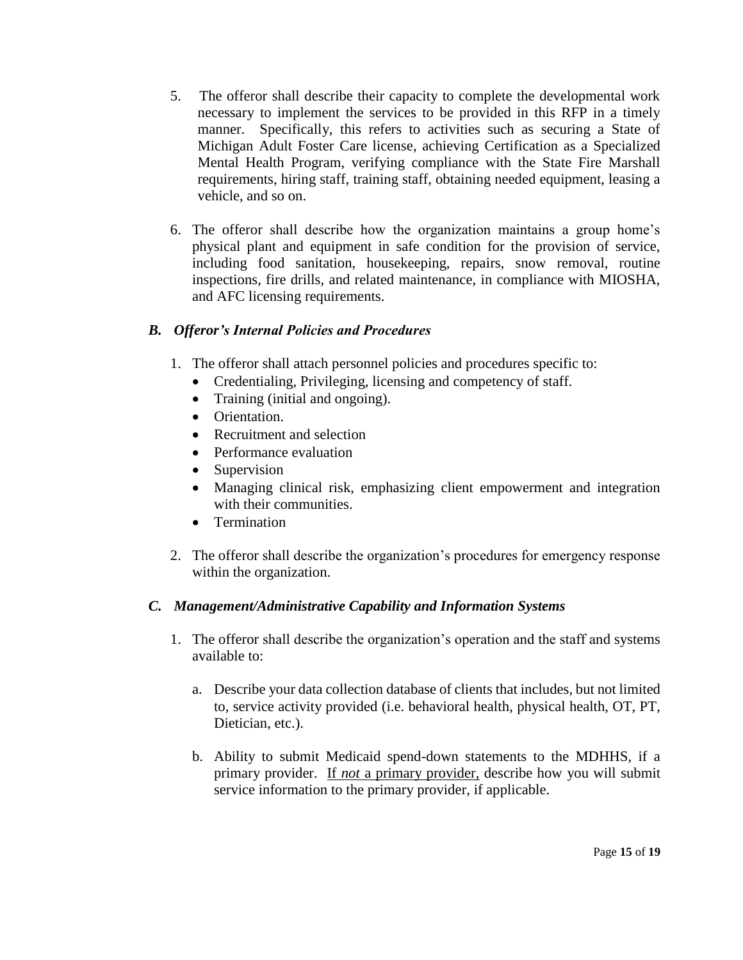- 5. The offeror shall describe their capacity to complete the developmental work necessary to implement the services to be provided in this RFP in a timely manner. Specifically, this refers to activities such as securing a State of Michigan Adult Foster Care license, achieving Certification as a Specialized Mental Health Program, verifying compliance with the State Fire Marshall requirements, hiring staff, training staff, obtaining needed equipment, leasing a vehicle, and so on.
- 6. The offeror shall describe how the organization maintains a group home's physical plant and equipment in safe condition for the provision of service, including food sanitation, housekeeping, repairs, snow removal, routine inspections, fire drills, and related maintenance, in compliance with MIOSHA, and AFC licensing requirements.

# *B. Offeror's Internal Policies and Procedures*

- 1. The offeror shall attach personnel policies and procedures specific to:
	- Credentialing, Privileging, licensing and competency of staff.
	- Training (initial and ongoing).
	- Orientation.
	- Recruitment and selection
	- Performance evaluation
	- Supervision
	- Managing clinical risk, emphasizing client empowerment and integration with their communities.
	- Termination
- 2. The offeror shall describe the organization's procedures for emergency response within the organization.

# *C. Management/Administrative Capability and Information Systems*

- 1. The offeror shall describe the organization's operation and the staff and systems available to:
	- a. Describe your data collection database of clients that includes, but not limited to, service activity provided (i.e. behavioral health, physical health, OT, PT, Dietician, etc.).
	- b. Ability to submit Medicaid spend-down statements to the MDHHS, if a primary provider. If *not* a primary provider, describe how you will submit service information to the primary provider, if applicable.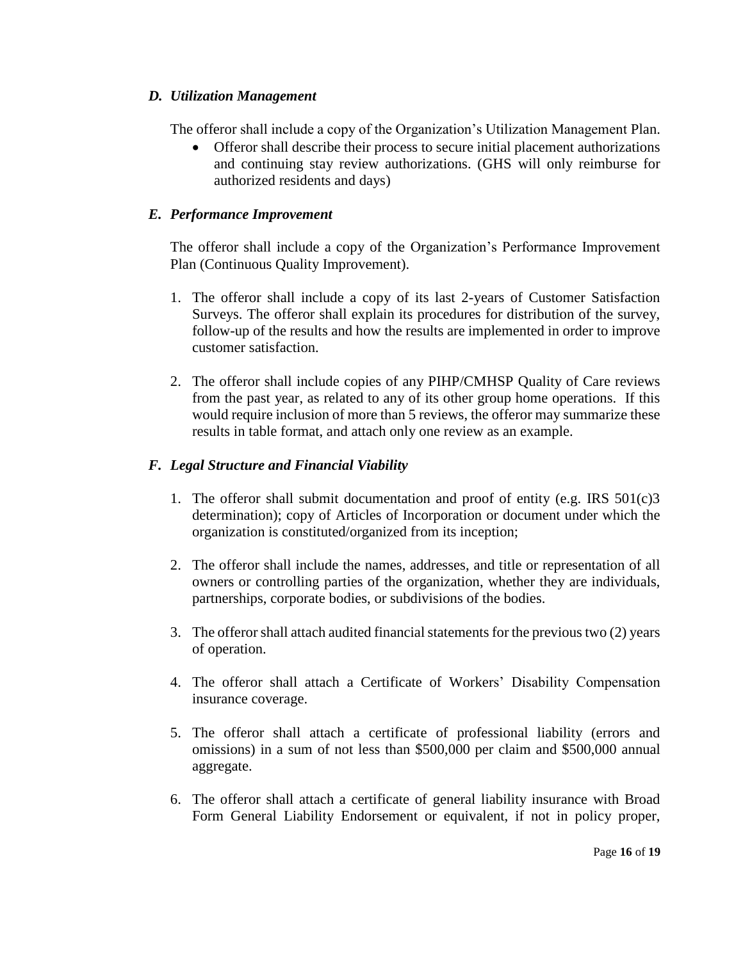## *D. Utilization Management*

The offeror shall include a copy of the Organization's Utilization Management Plan.

 Offeror shall describe their process to secure initial placement authorizations and continuing stay review authorizations. (GHS will only reimburse for authorized residents and days)

# *E. Performance Improvement*

The offeror shall include a copy of the Organization's Performance Improvement Plan (Continuous Quality Improvement).

- 1. The offeror shall include a copy of its last 2-years of Customer Satisfaction Surveys. The offeror shall explain its procedures for distribution of the survey, follow-up of the results and how the results are implemented in order to improve customer satisfaction.
- 2. The offeror shall include copies of any PIHP/CMHSP Quality of Care reviews from the past year, as related to any of its other group home operations. If this would require inclusion of more than 5 reviews, the offeror may summarize these results in table format, and attach only one review as an example.

# *F. Legal Structure and Financial Viability*

- 1. The offeror shall submit documentation and proof of entity (e.g. IRS 501(c)3 determination); copy of Articles of Incorporation or document under which the organization is constituted/organized from its inception;
- 2. The offeror shall include the names, addresses, and title or representation of all owners or controlling parties of the organization, whether they are individuals, partnerships, corporate bodies, or subdivisions of the bodies.
- 3. The offeror shall attach audited financial statements for the previous two (2) years of operation.
- 4. The offeror shall attach a Certificate of Workers' Disability Compensation insurance coverage.
- 5. The offeror shall attach a certificate of professional liability (errors and omissions) in a sum of not less than \$500,000 per claim and \$500,000 annual aggregate.
- 6. The offeror shall attach a certificate of general liability insurance with Broad Form General Liability Endorsement or equivalent, if not in policy proper,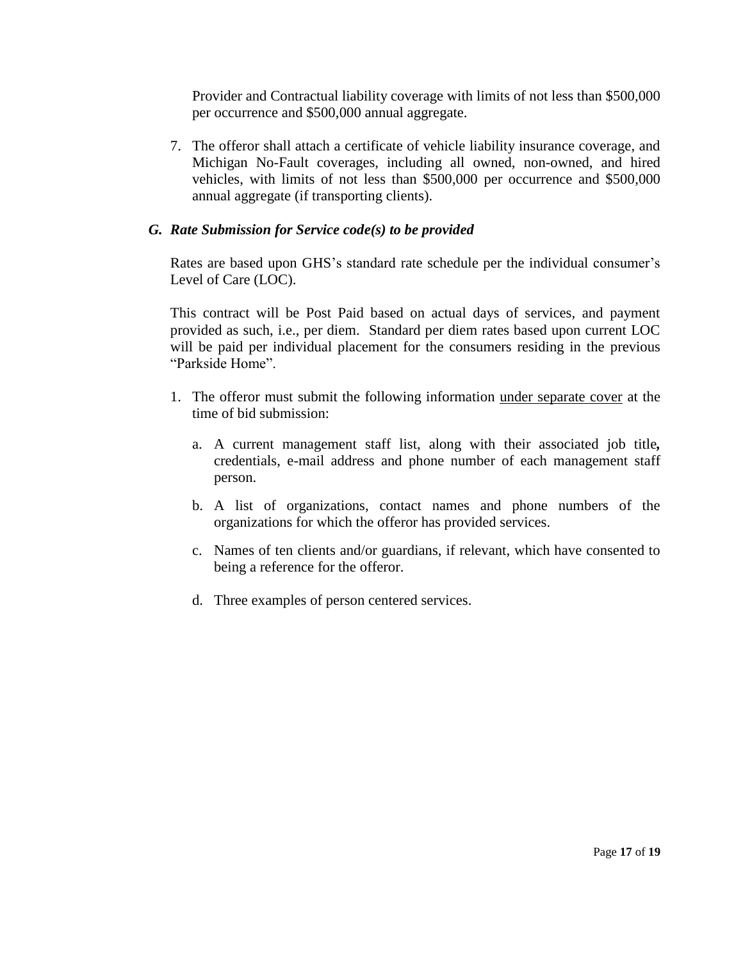Provider and Contractual liability coverage with limits of not less than \$500,000 per occurrence and \$500,000 annual aggregate.

7. The offeror shall attach a certificate of vehicle liability insurance coverage, and Michigan No-Fault coverages, including all owned, non-owned, and hired vehicles, with limits of not less than \$500,000 per occurrence and \$500,000 annual aggregate (if transporting clients).

# *G. Rate Submission for Service code(s) to be provided*

Rates are based upon GHS's standard rate schedule per the individual consumer's Level of Care (LOC).

This contract will be Post Paid based on actual days of services, and payment provided as such, i.e., per diem. Standard per diem rates based upon current LOC will be paid per individual placement for the consumers residing in the previous "Parkside Home".

- 1. The offeror must submit the following information under separate cover at the time of bid submission:
	- a. A current management staff list, along with their associated job title*,* credentials, e-mail address and phone number of each management staff person.
	- b. A list of organizations, contact names and phone numbers of the organizations for which the offeror has provided services.
	- c. Names of ten clients and/or guardians, if relevant, which have consented to being a reference for the offeror.
	- d. Three examples of person centered services.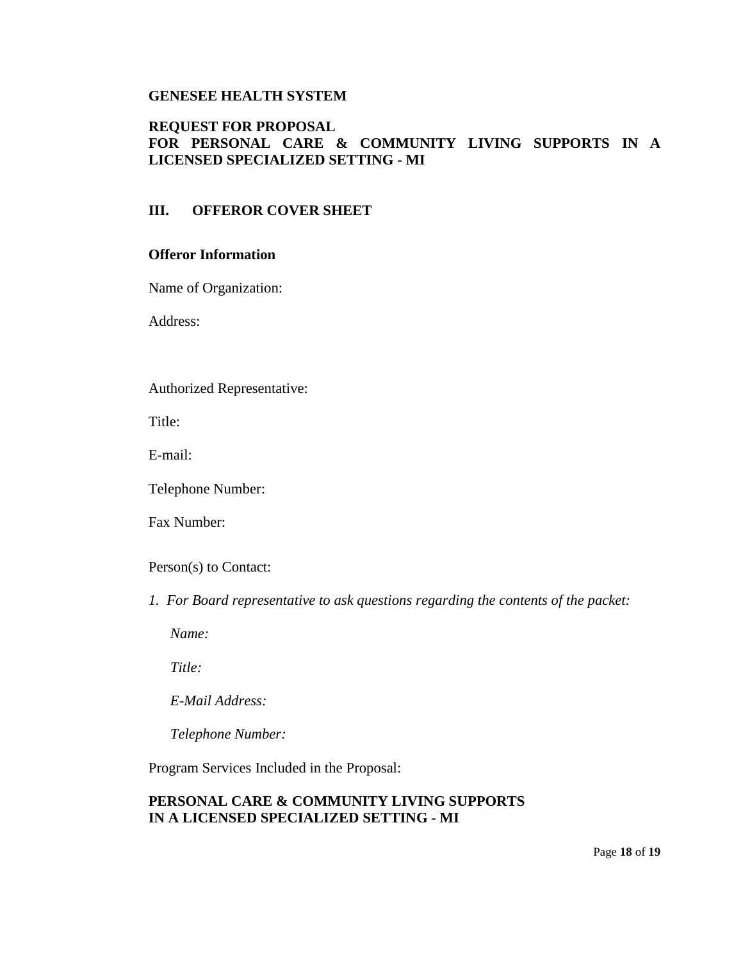## **GENESEE HEALTH SYSTEM**

## **REQUEST FOR PROPOSAL FOR PERSONAL CARE & COMMUNITY LIVING SUPPORTS IN A LICENSED SPECIALIZED SETTING - MI**

## **III. OFFEROR COVER SHEET**

#### **Offeror Information**

Name of Organization:

Address:

#### Authorized Representative:

Title:

E-mail:

Telephone Number:

Fax Number:

Person(s) to Contact:

*1. For Board representative to ask questions regarding the contents of the packet:*

*Name:*

*Title:* 

*E-Mail Address:*

*Telephone Number:* 

Program Services Included in the Proposal:

## **PERSONAL CARE & COMMUNITY LIVING SUPPORTS IN A LICENSED SPECIALIZED SETTING - MI**